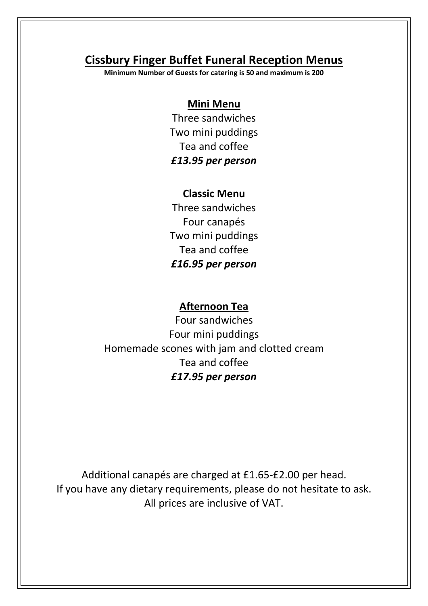# **Cissbury Finger Buffet Funeral Reception Menus**

**Minimum Number of Guests for catering is 50 and maximum is 200**

## **Mini Menu**

Three sandwiches Two mini puddings Tea and coffee *£13.95 per person*

#### **Classic Menu**

Three sandwiches Four canapés Two mini puddings Tea and coffee *£16.95 per person*

## **Afternoon Tea**

Four sandwiches Four mini puddings Homemade scones with jam and clotted cream Tea and coffee *£17.95 per person*

Additional canapés are charged at £1.65-£2.00 per head. If you have any dietary requirements, please do not hesitate to ask. All prices are inclusive of VAT.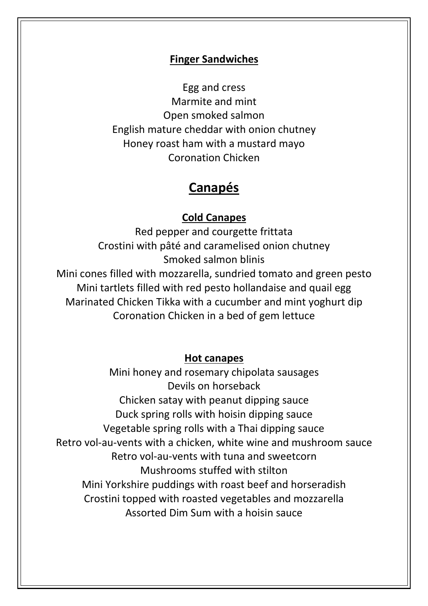#### **Finger Sandwiches**

Egg and cress Marmite and mint Open smoked salmon English mature cheddar with onion chutney Honey roast ham with a mustard mayo Coronation Chicken

# **Canapés**

## **Cold Canapes**

Red pepper and courgette frittata Crostini with pâté and caramelised onion chutney Smoked salmon blinis Mini cones filled with mozzarella, sundried tomato and green pesto Mini tartlets filled with red pesto hollandaise and quail egg Marinated Chicken Tikka with a cucumber and mint yoghurt dip Coronation Chicken in a bed of gem lettuce

#### **Hot canapes**

Mini honey and rosemary chipolata sausages Devils on horseback Chicken satay with peanut dipping sauce Duck spring rolls with hoisin dipping sauce Vegetable spring rolls with a Thai dipping sauce Retro vol-au-vents with a chicken, white wine and mushroom sauce Retro vol-au-vents with tuna and sweetcorn Mushrooms stuffed with stilton Mini Yorkshire puddings with roast beef and horseradish Crostini topped with roasted vegetables and mozzarella Assorted Dim Sum with a hoisin sauce